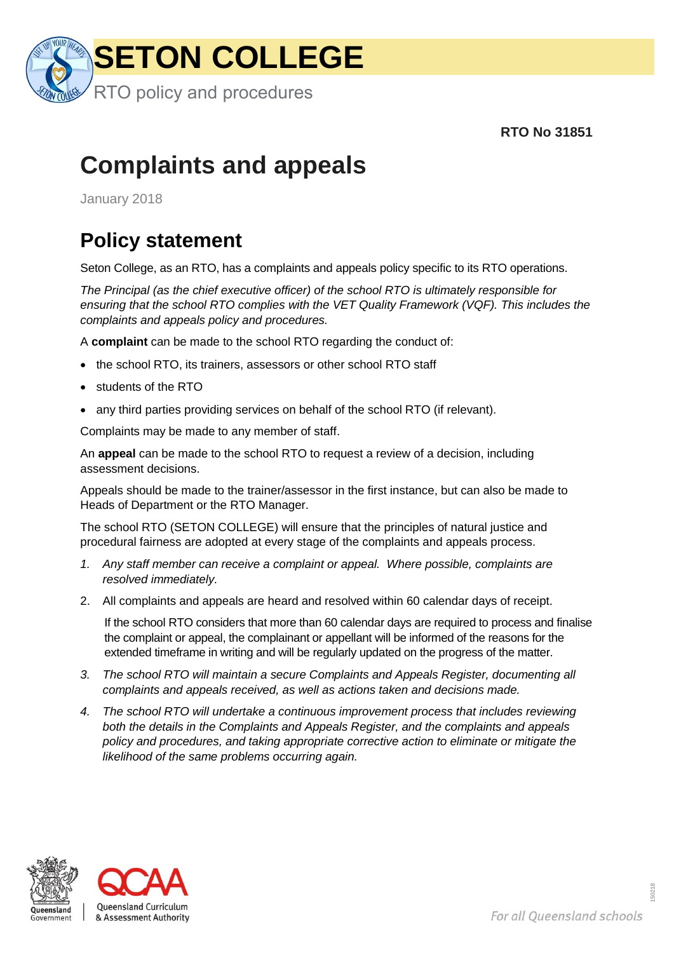

 **RTO No 31851**

## **Complaints and appeals**

January 2018

## **Policy statement**

Seton College, as an RTO, has a complaints and appeals policy specific to its RTO operations.

*The Principal (as the chief executive officer) of the school RTO is ultimately responsible for ensuring that the school RTO complies with the VET Quality Framework (VQF). This includes the complaints and appeals policy and procedures.*

A **complaint** can be made to the school RTO regarding the conduct of:

- the school RTO, its trainers, assessors or other school RTO staff
- students of the RTO
- any third parties providing services on behalf of the school RTO (if relevant).

Complaints may be made to any member of staff.

An **appeal** can be made to the school RTO to request a review of a decision, including assessment decisions.

Appeals should be made to the trainer/assessor in the first instance, but can also be made to Heads of Department or the RTO Manager.

The school RTO (SETON COLLEGE) will ensure that the principles of natural justice and procedural fairness are adopted at every stage of the complaints and appeals process.

- *1. Any staff member can receive a complaint or appeal. Where possible, complaints are resolved immediately.*
- 2. All complaints and appeals are heard and resolved within 60 calendar days of receipt.

If the school RTO considers that more than 60 calendar days are required to process and finalise the complaint or appeal, the complainant or appellant will be informed of the reasons for the extended timeframe in writing and will be regularly updated on the progress of the matter.

- *3. The school RTO will maintain a secure Complaints and Appeals Register, documenting all complaints and appeals received, as well as actions taken and decisions made.*
- *4. The school RTO will undertake a continuous improvement process that includes reviewing both the details in the Complaints and Appeals Register, and the complaints and appeals policy and procedures, and taking appropriate corrective action to eliminate or mitigate the likelihood of the same problems occurring again.*



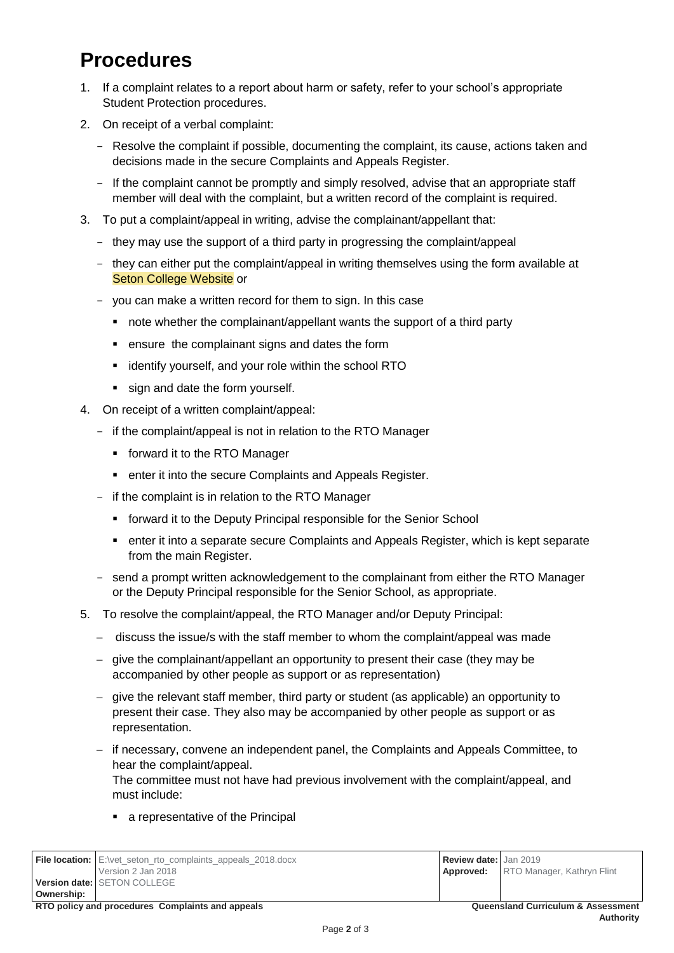## **Procedures**

- 1. If a complaint relates to a report about harm or safety, refer to your school's appropriate Student Protection procedures.
- 2. On receipt of a verbal complaint:
	- Resolve the complaint if possible, documenting the complaint, its cause, actions taken and decisions made in the secure Complaints and Appeals Register.
	- If the complaint cannot be promptly and simply resolved, advise that an appropriate staff member will deal with the complaint, but a written record of the complaint is required.
- 3. To put a complaint/appeal in writing, advise the complainant/appellant that:
	- they may use the support of a third party in progressing the complaint/appeal
	- they can either put the complaint/appeal in writing themselves using the form available at **Seton College Website or**
	- you can make a written record for them to sign. In this case
		- note whether the complainant/appellant wants the support of a third party
		- ensure the complainant signs and dates the form
		- **EXECUTE:** identify yourself, and your role within the school RTO
		- sign and date the form yourself.
- 4. On receipt of a written complaint/appeal:
	- if the complaint/appeal is not in relation to the RTO Manager
		- **forward it to the RTO Manager**
		- **EXECUTE:** enter it into the secure Complaints and Appeals Register.
	- if the complaint is in relation to the RTO Manager
		- **forward it to the Deputy Principal responsible for the Senior School**
		- enter it into a separate secure Complaints and Appeals Register, which is kept separate from the main Register.
	- send a prompt written acknowledgement to the complainant from either the RTO Manager or the Deputy Principal responsible for the Senior School, as appropriate.
- 5. To resolve the complaint/appeal, the RTO Manager and/or Deputy Principal:
	- discuss the issue/s with the staff member to whom the complaint/appeal was made
	- give the complainant/appellant an opportunity to present their case (they may be accompanied by other people as support or as representation)
	- give the relevant staff member, third party or student (as applicable) an opportunity to present their case. They also may be accompanied by other people as support or as representation.
	- if necessary, convene an independent panel, the Complaints and Appeals Committee, to hear the complaint/appeal. The committee must not have had previous involvement with the complaint/appeal, and

must include:

a representative of the Principal

|                                                                                                   | <b>File location:</b> E:\vet_seton_rto_complaints_appeals_2018.docx | <b>Review date:</b> Jan 2019 |                                             |
|---------------------------------------------------------------------------------------------------|---------------------------------------------------------------------|------------------------------|---------------------------------------------|
|                                                                                                   | Version 2 Jan 2018                                                  |                              | <b>Approved:</b> RTO Manager, Kathryn Flint |
|                                                                                                   | <b>Version date: SETON COLLEGE</b>                                  |                              |                                             |
| Ownership:                                                                                        |                                                                     |                              |                                             |
| RTO policy and procedures Complaints and appeals<br><b>Queensland Curriculum &amp; Assessment</b> |                                                                     |                              |                                             |